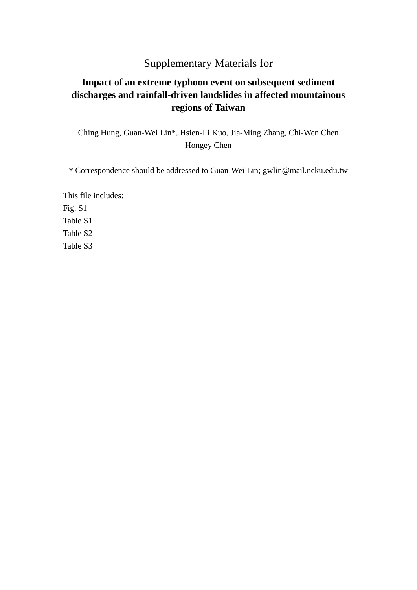## Supplementary Materials for

## **Impact of an extreme typhoon event on subsequent sediment discharges and rainfall-driven landslides in affected mountainous regions of Taiwan**

Ching Hung, Guan-Wei Lin\*, Hsien-Li Kuo, Jia-Ming Zhang, Chi-Wen Chen Hongey Chen

\* Correspondence should be addressed to Guan-Wei Lin; gwlin@mail.ncku.edu.tw

This file includes: Fig. S1 Table S1 Table S2 Table S3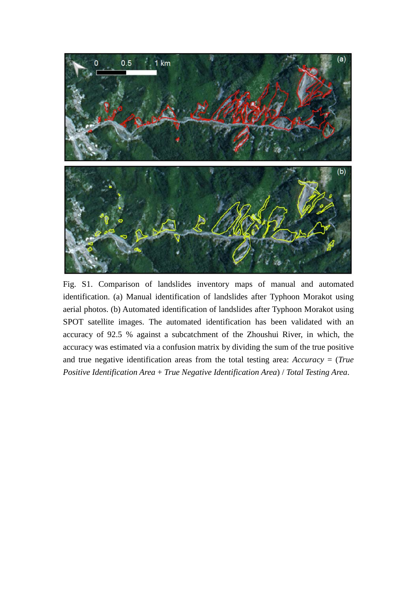

Fig. S1. Comparison of landslides inventory maps of manual and automated identification. (a) Manual identification of landslides after Typhoon Morakot using aerial photos. (b) Automated identification of landslides after Typhoon Morakot using SPOT satellite images. The automated identification has been validated with an accuracy of 92.5 % against a subcatchment of the Zhoushui River, in which, the accuracy was estimated via a confusion matrix by dividing the sum of the true positive and true negative identification areas from the total testing area: *Accuracy* = (*True Positive Identification Area* + *True Negative Identification Area*) / *Total Testing Area*.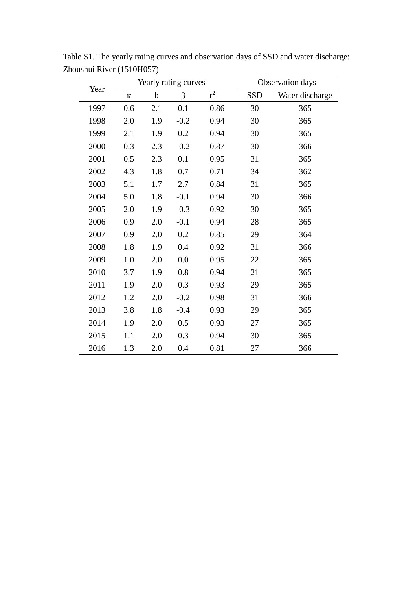| Year | Yearly rating curves |     |        |       | Observation days |                 |
|------|----------------------|-----|--------|-------|------------------|-----------------|
|      | К                    | b   | β      | $r^2$ | SSD              | Water discharge |
| 1997 | 0.6                  | 2.1 | 0.1    | 0.86  | 30               | 365             |
| 1998 | 2.0                  | 1.9 | $-0.2$ | 0.94  | 30               | 365             |
| 1999 | 2.1                  | 1.9 | 0.2    | 0.94  | 30               | 365             |
| 2000 | 0.3                  | 2.3 | $-0.2$ | 0.87  | 30               | 366             |
| 2001 | 0.5                  | 2.3 | 0.1    | 0.95  | 31               | 365             |
| 2002 | 4.3                  | 1.8 | 0.7    | 0.71  | 34               | 362             |
| 2003 | 5.1                  | 1.7 | 2.7    | 0.84  | 31               | 365             |
| 2004 | 5.0                  | 1.8 | $-0.1$ | 0.94  | 30               | 366             |
| 2005 | 2.0                  | 1.9 | $-0.3$ | 0.92  | 30               | 365             |
| 2006 | 0.9                  | 2.0 | $-0.1$ | 0.94  | 28               | 365             |
| 2007 | 0.9                  | 2.0 | 0.2    | 0.85  | 29               | 364             |
| 2008 | 1.8                  | 1.9 | 0.4    | 0.92  | 31               | 366             |
| 2009 | 1.0                  | 2.0 | 0.0    | 0.95  | 22               | 365             |
| 2010 | 3.7                  | 1.9 | 0.8    | 0.94  | 21               | 365             |
| 2011 | 1.9                  | 2.0 | 0.3    | 0.93  | 29               | 365             |
| 2012 | 1.2                  | 2.0 | $-0.2$ | 0.98  | 31               | 366             |
| 2013 | 3.8                  | 1.8 | $-0.4$ | 0.93  | 29               | 365             |
| 2014 | 1.9                  | 2.0 | 0.5    | 0.93  | 27               | 365             |
| 2015 | 1.1                  | 2.0 | 0.3    | 0.94  | 30               | 365             |
| 2016 | 1.3                  | 2.0 | 0.4    | 0.81  | 27               | 366             |

Table S1. The yearly rating curves and observation days of SSD and water discharge: Zhoushui River (1510H057)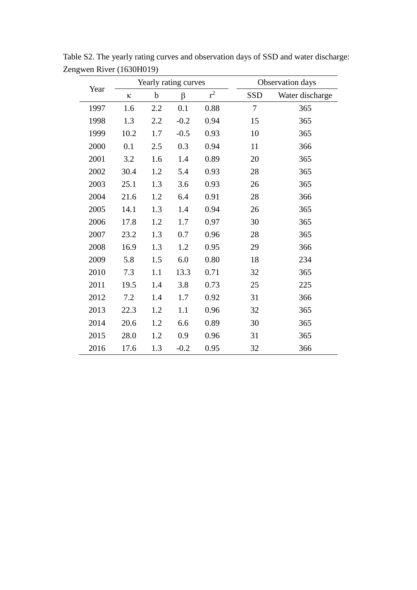| Year | Yearly rating curves |             |        |       |        | Observation days |  |
|------|----------------------|-------------|--------|-------|--------|------------------|--|
|      | ${\bf K}$            | $\mathbf b$ | β      | $r^2$ | SSD    | Water discharge  |  |
| 1997 | 1.6                  | 2.2         | 0.1    | 0.88  | $\tau$ | 365              |  |
| 1998 | 1.3                  | 2.2         | $-0.2$ | 0.94  | 15     | 365              |  |
| 1999 | 10.2                 | 1.7         | $-0.5$ | 0.93  | 10     | 365              |  |
| 2000 | 0.1                  | 2.5         | 0.3    | 0.94  | 11     | 366              |  |
| 2001 | 3.2                  | 1.6         | 1.4    | 0.89  | 20     | 365              |  |
| 2002 | 30.4                 | 1.2         | 5.4    | 0.93  | 28     | 365              |  |
| 2003 | 25.1                 | 1.3         | 3.6    | 0.93  | 26     | 365              |  |
| 2004 | 21.6                 | 1.2         | 6.4    | 0.91  | 28     | 366              |  |
| 2005 | 14.1                 | 1.3         | 1.4    | 0.94  | 26     | 365              |  |
| 2006 | 17.8                 | 1.2         | 1.7    | 0.97  | 30     | 365              |  |
| 2007 | 23.2                 | 1.3         | 0.7    | 0.96  | 28     | 365              |  |
| 2008 | 16.9                 | 1.3         | 1.2    | 0.95  | 29     | 366              |  |
| 2009 | 5.8                  | 1.5         | 6.0    | 0.80  | 18     | 234              |  |
| 2010 | 7.3                  | 1.1         | 13.3   | 0.71  | 32     | 365              |  |
| 2011 | 19.5                 | 1.4         | 3.8    | 0.73  | 25     | 225              |  |
| 2012 | 7.2                  | 1.4         | 1.7    | 0.92  | 31     | 366              |  |
| 2013 | 22.3                 | 1.2         | 1.1    | 0.96  | 32     | 365              |  |
| 2014 | 20.6                 | 1.2         | 6.6    | 0.89  | 30     | 365              |  |
| 2015 | 28.0                 | 1.2         | 0.9    | 0.96  | 31     | 365              |  |
| 2016 | 17.6                 | 1.3         | $-0.2$ | 0.95  | 32     | 366              |  |

Table S2. The yearly rating curves and observation days of SSD and water discharge: Zengwen River (1630H019)